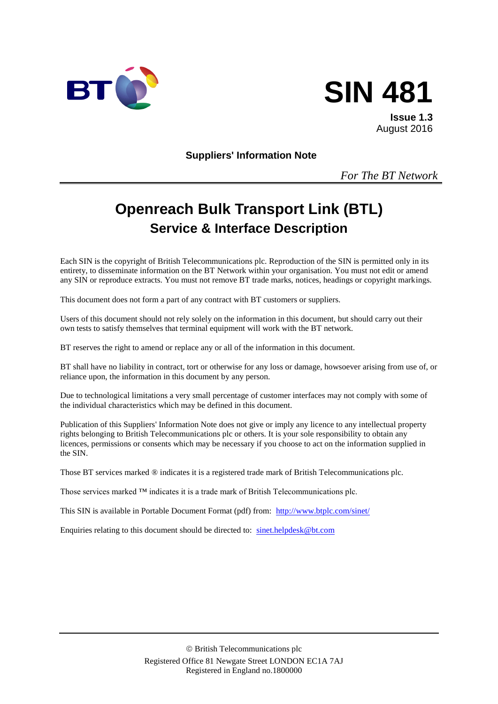



**Issue 1.3** August 2016

**Suppliers' Information Note**

*For The BT Network*

# **Openreach Bulk Transport Link (BTL) Service & Interface Description**

Each SIN is the copyright of British Telecommunications plc. Reproduction of the SIN is permitted only in its entirety, to disseminate information on the BT Network within your organisation. You must not edit or amend any SIN or reproduce extracts. You must not remove BT trade marks, notices, headings or copyright markings.

This document does not form a part of any contract with BT customers or suppliers.

Users of this document should not rely solely on the information in this document, but should carry out their own tests to satisfy themselves that terminal equipment will work with the BT network.

BT reserves the right to amend or replace any or all of the information in this document.

BT shall have no liability in contract, tort or otherwise for any loss or damage, howsoever arising from use of, or reliance upon, the information in this document by any person.

Due to technological limitations a very small percentage of customer interfaces may not comply with some of the individual characteristics which may be defined in this document.

Publication of this Suppliers' Information Note does not give or imply any licence to any intellectual property rights belonging to British Telecommunications plc or others. It is your sole responsibility to obtain any licences, permissions or consents which may be necessary if you choose to act on the information supplied in the SIN.

Those BT services marked ® indicates it is a registered trade mark of British Telecommunications plc.

Those services marked ™ indicates it is a trade mark of British Telecommunications plc.

This SIN is available in Portable Document Format (pdf) from: <http://www.btplc.com/sinet/>

Enquiries relating to this document should be directed to: [sinet.helpdesk@bt.com](mailto:sinet.helpdesk@bt.com)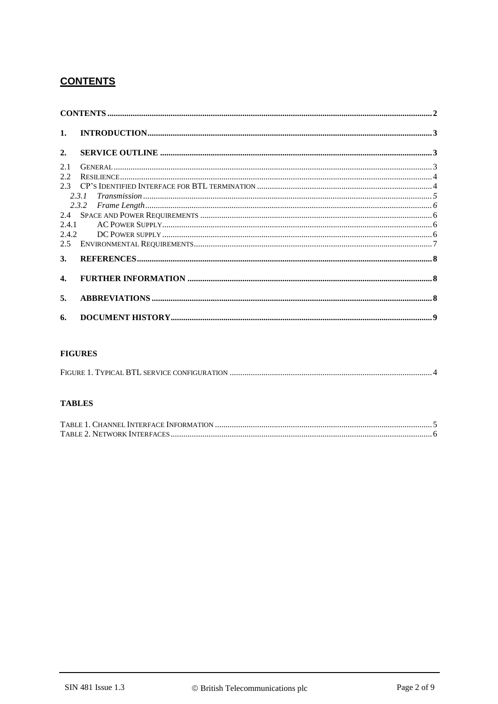# **CONTENTS**

| 1.             |                                                                                                                                                                       |  |
|----------------|-----------------------------------------------------------------------------------------------------------------------------------------------------------------------|--|
| 2.             |                                                                                                                                                                       |  |
| 2.1            |                                                                                                                                                                       |  |
| 2.2            |                                                                                                                                                                       |  |
|                |                                                                                                                                                                       |  |
|                | $\label{eq:transmission} \begin{minipage}{0.9\linewidth} Transmission  \end{minipage} \begin{minipage}{0.9\linewidth} \textit{transmission}  \end{minipage}$<br>2.3.1 |  |
|                |                                                                                                                                                                       |  |
|                |                                                                                                                                                                       |  |
| 2.4.1          |                                                                                                                                                                       |  |
|                |                                                                                                                                                                       |  |
| 2.5            |                                                                                                                                                                       |  |
| 3.             |                                                                                                                                                                       |  |
| $\mathbf{4}$ . |                                                                                                                                                                       |  |
| 5.             |                                                                                                                                                                       |  |
| 6.             |                                                                                                                                                                       |  |

#### **FIGURES**

|--|

#### **TABLES**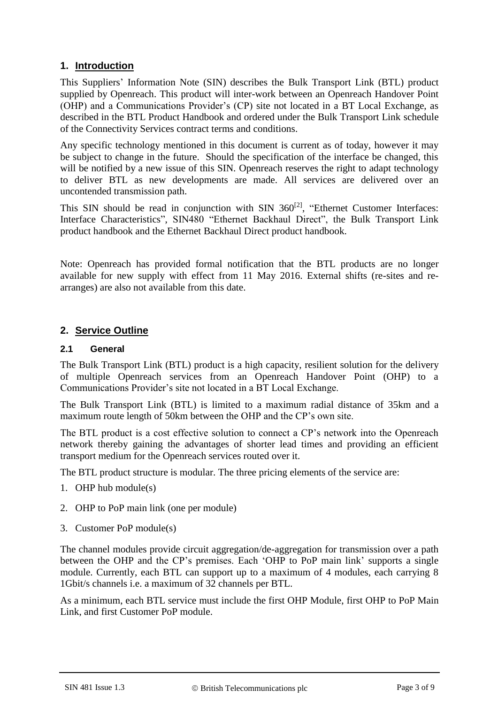## **1. Introduction**

This Suppliers' Information Note (SIN) describes the Bulk Transport Link (BTL) product supplied by Openreach. This product will inter-work between an Openreach Handover Point (OHP) and a Communications Provider's (CP) site not located in a BT Local Exchange, as described in the BTL Product Handbook and ordered under the Bulk Transport Link schedule of the Connectivity Services contract terms and conditions.

Any specific technology mentioned in this document is current as of today, however it may be subject to change in the future. Should the specification of the interface be changed, this will be notified by a new issue of this SIN. Openreach reserves the right to adapt technology to deliver BTL as new developments are made. All services are delivered over an uncontended transmission path.

This SIN should be read in conjunction with SIN  $360^{[2]}$  $360^{[2]}$  $360^{[2]}$ , "Ethernet Customer Interfaces: Interface Characteristics", SIN480 "Ethernet Backhaul Direct", the Bulk Transport Link product handbook and the Ethernet Backhaul Direct product handbook.

Note: Openreach has provided formal notification that the BTL products are no longer available for new supply with effect from 11 May 2016. External shifts (re-sites and rearranges) are also not available from this date.

### **2. Service Outline**

#### **2.1 General**

The Bulk Transport Link (BTL) product is a high capacity, resilient solution for the delivery of multiple Openreach services from an Openreach Handover Point (OHP) to a Communications Provider's site not located in a BT Local Exchange.

The Bulk Transport Link (BTL) is limited to a maximum radial distance of 35km and a maximum route length of 50km between the OHP and the CP's own site.

The BTL product is a cost effective solution to connect a CP's network into the Openreach network thereby gaining the advantages of shorter lead times and providing an efficient transport medium for the Openreach services routed over it.

The BTL product structure is modular. The three pricing elements of the service are:

- 1. OHP hub module(s)
- 2. OHP to PoP main link (one per module)
- 3. Customer PoP module(s)

The channel modules provide circuit aggregation/de-aggregation for transmission over a path between the OHP and the CP's premises. Each 'OHP to PoP main link' supports a single module. Currently, each BTL can support up to a maximum of 4 modules, each carrying 8 1Gbit/s channels i.e. a maximum of 32 channels per BTL.

As a minimum, each BTL service must include the first OHP Module, first OHP to PoP Main Link, and first Customer PoP module.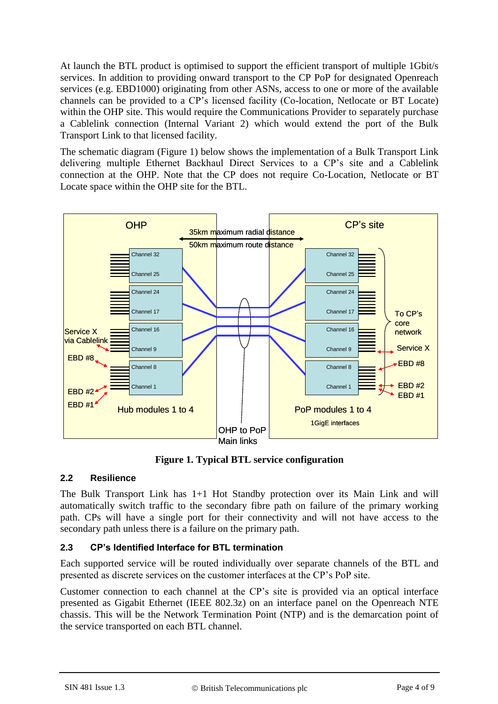At launch the BTL product is optimised to support the efficient transport of multiple 1Gbit/s services. In addition to providing onward transport to the CP PoP for designated Openreach services (e.g. EBD1000) originating from other ASNs, access to one or more of the available channels can be provided to a CP's licensed facility (Co-location, Netlocate or BT Locate) within the OHP site. This would require the Communications Provider to separately purchase a Cablelink connection (Internal Variant 2) which would extend the port of the Bulk Transport Link to that licensed facility.

The schematic diagram (Figure 1) below shows the implementation of a Bulk Transport Link delivering multiple Ethernet Backhaul Direct Services to a CP's site and a Cablelink connection at the OHP. Note that the CP does not require Co-Location, Netlocate or BT Locate space within the OHP site for the BTL.



**Figure 1. Typical BTL service configuration**

## **2.2 Resilience**

The Bulk Transport Link has 1+1 Hot Standby protection over its Main Link and will automatically switch traffic to the secondary fibre path on failure of the primary working path. CPs will have a single port for their connectivity and will not have access to the secondary path unless there is a failure on the primary path.

## **2.3 CP's Identified Interface for BTL termination**

Each supported service will be routed individually over separate channels of the BTL and presented as discrete services on the customer interfaces at the CP's PoP site.

Customer connection to each channel at the CP's site is provided via an optical interface presented as Gigabit Ethernet (IEEE 802.3z) on an interface panel on the Openreach NTE chassis. This will be the Network Termination Point (NTP) and is the demarcation point of the service transported on each BTL channel.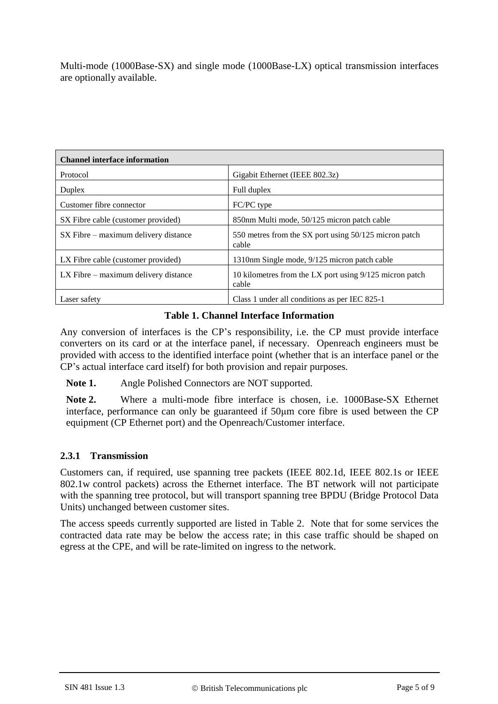Multi-mode (1000Base-SX) and single mode (1000Base-LX) optical transmission interfaces are optionally available.

| <b>Channel interface information</b>     |                                                                  |  |
|------------------------------------------|------------------------------------------------------------------|--|
| Protocol                                 | Gigabit Ethernet (IEEE 802.3z)                                   |  |
| Duplex                                   | Full duplex                                                      |  |
| Customer fibre connector                 | FC/PC type                                                       |  |
| SX Fibre cable (customer provided)       | 850nm Multi mode, 50/125 micron patch cable                      |  |
| SX Fibre – maximum delivery distance     | 550 metres from the SX port using 50/125 micron patch<br>cable   |  |
| LX Fibre cable (customer provided)       | 1310nm Single mode, 9/125 micron patch cable                     |  |
| $LX$ Fibre $-$ maximum delivery distance | 10 kilometres from the LX port using 9/125 micron patch<br>cable |  |
| Laser safety                             | Class 1 under all conditions as per IEC 825-1                    |  |

#### **Table 1. Channel Interface Information**

Any conversion of interfaces is the CP's responsibility, i.e. the CP must provide interface converters on its card or at the interface panel, if necessary. Openreach engineers must be provided with access to the identified interface point (whether that is an interface panel or the CP's actual interface card itself) for both provision and repair purposes.

**Note 1.** Angle Polished Connectors are NOT supported.

**Note 2.** Where a multi-mode fibre interface is chosen, i.e. 1000Base-SX Ethernet interface, performance can only be guaranteed if 50μm core fibre is used between the CP equipment (CP Ethernet port) and the Openreach/Customer interface.

#### **2.3.1 Transmission**

Customers can, if required, use spanning tree packets (IEEE 802.1d, IEEE 802.1s or IEEE 802.1w control packets) across the Ethernet interface. The BT network will not participate with the spanning tree protocol, but will transport spanning tree BPDU (Bridge Protocol Data Units) unchanged between customer sites.

The access speeds currently supported are listed in Table 2. Note that for some services the contracted data rate may be below the access rate; in this case traffic should be shaped on egress at the CPE, and will be rate-limited on ingress to the network.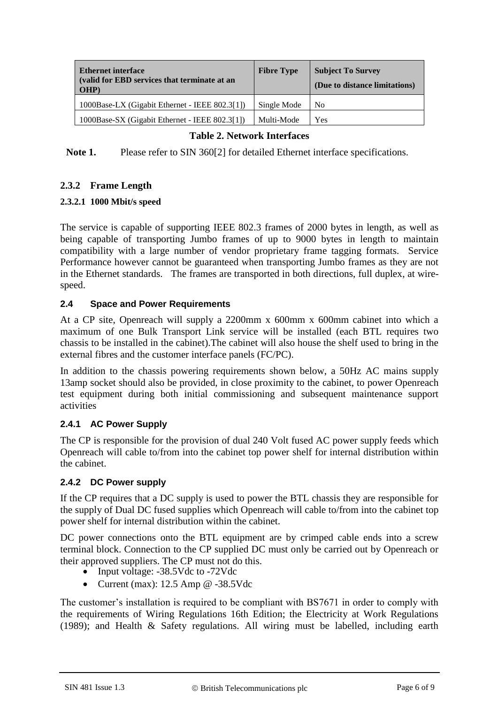| <b>Ethernet interface</b><br>(valid for EBD services that terminate at an<br>OHP) | <b>Fibre Type</b> | <b>Subject To Survey</b><br>(Due to distance limitations) |
|-----------------------------------------------------------------------------------|-------------------|-----------------------------------------------------------|
| 1000Base-LX (Gigabit Ethernet - IEEE 802.3[1])                                    | Single Mode       | N <sub>0</sub>                                            |
| 1000Base-SX (Gigabit Ethernet - IEEE 802.3[1])                                    | Multi-Mode        | Yes                                                       |

### **Table 2. Network Interfaces**

**Note 1.** Please refer to SIN 36[0\[2\]](#page-7-0) for detailed Ethernet interface specifications.

## **2.3.2 Frame Length**

### **2.3.2.1 1000 Mbit/s speed**

The service is capable of supporting IEEE 802.3 frames of 2000 bytes in length, as well as being capable of transporting Jumbo frames of up to 9000 bytes in length to maintain compatibility with a large number of vendor proprietary frame tagging formats. Service Performance however cannot be guaranteed when transporting Jumbo frames as they are not in the Ethernet standards. The frames are transported in both directions, full duplex, at wirespeed.

### **2.4 Space and Power Requirements**

At a CP site, Openreach will supply a 2200mm x 600mm x 600mm cabinet into which a maximum of one Bulk Transport Link service will be installed (each BTL requires two chassis to be installed in the cabinet).The cabinet will also house the shelf used to bring in the external fibres and the customer interface panels (FC/PC).

In addition to the chassis powering requirements shown below, a 50Hz AC mains supply 13amp socket should also be provided, in close proximity to the cabinet, to power Openreach test equipment during both initial commissioning and subsequent maintenance support activities

## **2.4.1 AC Power Supply**

The CP is responsible for the provision of dual 240 Volt fused AC power supply feeds which Openreach will cable to/from into the cabinet top power shelf for internal distribution within the cabinet.

#### **2.4.2 DC Power supply**

If the CP requires that a DC supply is used to power the BTL chassis they are responsible for the supply of Dual DC fused supplies which Openreach will cable to/from into the cabinet top power shelf for internal distribution within the cabinet.

DC power connections onto the BTL equipment are by crimped cable ends into a screw terminal block. Connection to the CP supplied DC must only be carried out by Openreach or their approved suppliers. The CP must not do this.

- Input voltage: -38.5Vdc to -72Vdc
- Current (max):  $12.5$  Amp @  $-38.5$ Vdc

The customer's installation is required to be compliant with BS7671 in order to comply with the requirements of Wiring Regulations 16th Edition; the Electricity at Work Regulations (1989); and Health & Safety regulations. All wiring must be labelled, including earth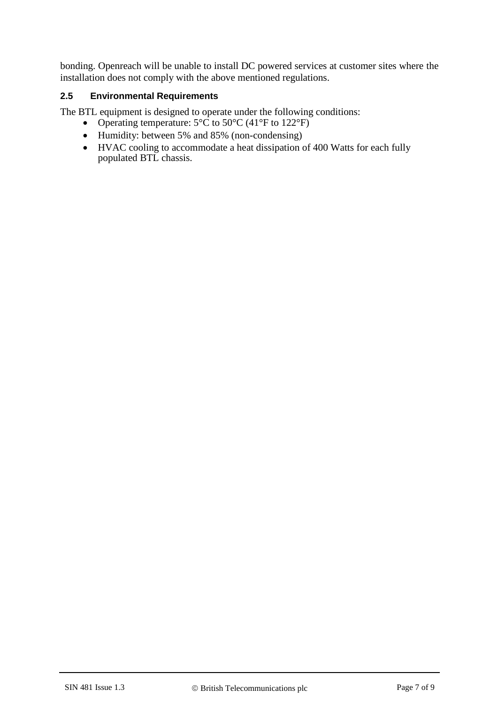bonding. Openreach will be unable to install DC powered services at customer sites where the installation does not comply with the above mentioned regulations.

#### **2.5 Environmental Requirements**

The BTL equipment is designed to operate under the following conditions:

- Operating temperature:  $5^{\circ}$ C to  $50^{\circ}$ C (41°F to 122°F)
- Humidity: between 5% and 85% (non-condensing)
- HVAC cooling to accommodate a heat dissipation of 400 Watts for each fully populated BTL chassis.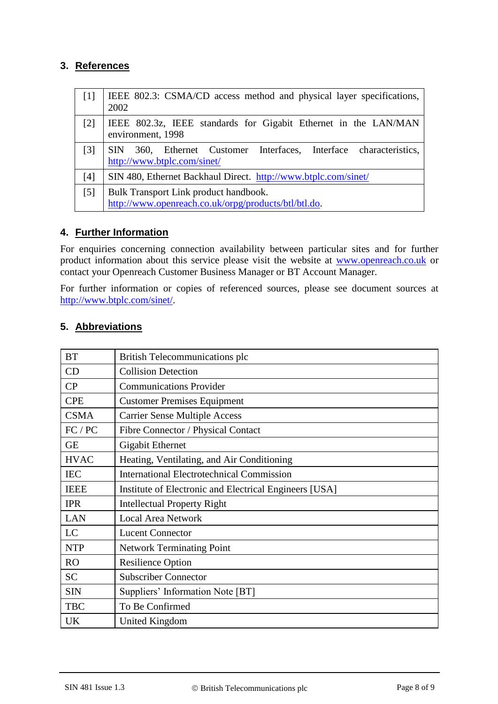## **3. References**

<span id="page-7-1"></span><span id="page-7-0"></span>

| $\lceil 1 \rceil$ | IEEE 802.3: CSMA/CD access method and physical layer specifications,<br>2002                         |  |
|-------------------|------------------------------------------------------------------------------------------------------|--|
| $\lceil 2 \rceil$ | IEEE 802.3z, IEEE standards for Gigabit Ethernet in the LAN/MAN<br>environment, 1998                 |  |
| $\lceil 3 \rceil$ | 360, Ethernet Customer Interfaces, Interface characteristics,<br>SIN.<br>http://www.btplc.com/sinet/ |  |
| [4]               | SIN 480, Ethernet Backhaul Direct. http://www.btplc.com/sinet/                                       |  |
| [5]               | Bulk Transport Link product handbook.<br>http://www.openreach.co.uk/orpg/products/btl/btl.do.        |  |

## **4. Further Information**

For enquiries concerning connection availability between particular sites and for further product information about this service please visit the website at [www.openreach.co.uk](http://www.openreach.co.uk/) or contact your Openreach Customer Business Manager or BT Account Manager.

For further information or copies of referenced sources, please see document sources at [http://www.btplc.com/sinet/.](http://www.btplc.com/sinet/)

| <b>BT</b>                                     | British Telecommunications plc                         |  |
|-----------------------------------------------|--------------------------------------------------------|--|
| CD                                            | <b>Collision Detection</b>                             |  |
| CP                                            | <b>Communications Provider</b>                         |  |
| <b>CPE</b>                                    | <b>Customer Premises Equipment</b>                     |  |
| <b>CSMA</b>                                   | <b>Carrier Sense Multiple Access</b>                   |  |
| FC / PC<br>Fibre Connector / Physical Contact |                                                        |  |
| <b>GE</b>                                     | <b>Gigabit Ethernet</b>                                |  |
| <b>HVAC</b>                                   | Heating, Ventilating, and Air Conditioning             |  |
| <b>IEC</b>                                    | <b>International Electrotechnical Commission</b>       |  |
| <b>IEEE</b>                                   | Institute of Electronic and Electrical Engineers [USA] |  |
| <b>IPR</b>                                    | <b>Intellectual Property Right</b>                     |  |
| <b>LAN</b>                                    | <b>Local Area Network</b>                              |  |
| LC                                            | <b>Lucent Connector</b>                                |  |
| <b>NTP</b>                                    | <b>Network Terminating Point</b>                       |  |
| <b>RO</b>                                     | <b>Resilience Option</b>                               |  |
| <b>SC</b>                                     | <b>Subscriber Connector</b>                            |  |
| <b>SIN</b>                                    | Suppliers' Information Note [BT]                       |  |
| <b>TBC</b>                                    | To Be Confirmed                                        |  |
| UK                                            | <b>United Kingdom</b>                                  |  |

### **5. Abbreviations**